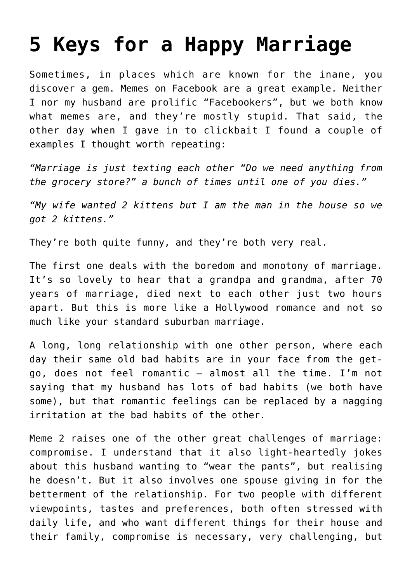## **[5 Keys for a Happy Marriage](https://intellectualtakeout.org/2017/04/5-keys-for-a-happy-marriage/)**

Sometimes, in places which are known for the inane, you discover a gem. Memes on Facebook are a great example. Neither I nor my husband are prolific "Facebookers", but we both know what memes are, and they're mostly stupid. That said, the other day when I gave in to clickbait I found a couple of examples I thought worth repeating:

*"Marriage is just texting each other "Do we need anything from the grocery store?" a bunch of times until one of you dies."*

*"My wife wanted 2 kittens but I am the man in the house so we got 2 kittens."*

They're both quite funny, and they're both very real.

The first one deals with the boredom and monotony of marriage. It's so lovely to hear that a grandpa and grandma, after 70 years of marriage, died next to each other just two hours apart. But this is more like a Hollywood romance and not so much like your standard suburban marriage.

A long, long relationship with one other person, where each day their same old bad habits are in your face from the getgo, does not feel romantic – almost all the time. I'm not saying that my husband has lots of bad habits (we both have some), but that romantic feelings can be replaced by a nagging irritation at the bad habits of the other.

Meme 2 raises one of the other great challenges of marriage: compromise. I understand that it also light-heartedly jokes about this husband wanting to "wear the pants", but realising he doesn't. But it also involves one spouse giving in for the betterment of the relationship. For two people with different viewpoints, tastes and preferences, both often stressed with daily life, and who want different things for their house and their family, compromise is necessary, very challenging, but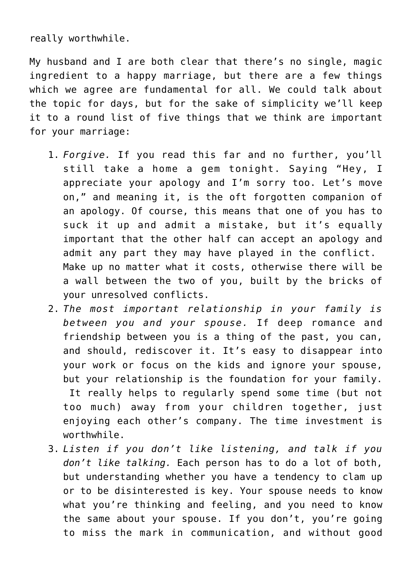really worthwhile.

My husband and I are both clear that there's no single, magic ingredient to a happy marriage, but there are a few things which we agree are fundamental for all. We could talk about the topic for days, but for the sake of simplicity we'll keep it to a round list of five things that we think are important for your marriage:

- 1. *Forgive.* If you read this far and no further, you'll still take a home a gem tonight. Saying "Hey, I appreciate your apology and I'm sorry too. Let's move on," and meaning it, is the oft forgotten companion of an apology. Of course, this means that one of you has to suck it up and admit a mistake, but it's equally important that the other half can accept an apology and admit any part they may have played in the conflict. Make up no matter what it costs, otherwise there will be a wall between the two of you, built by the bricks of your unresolved conflicts.
- 2. *The most important relationship in your family is between you and your spouse.* If deep romance and friendship between you is a thing of the past, you can, and should, rediscover it. It's easy to disappear into your work or focus on the kids and ignore your spouse, but your relationship is the foundation for your family. It really helps to regularly spend some time (but not too much) away from your children together, just enjoying each other's company. The time investment is worthwhile.
- 3. *Listen if you don't like listening, and talk if you don't like talking.* Each person has to do a lot of both, but understanding whether you have a tendency to clam up or to be disinterested is key. Your spouse needs to know what you're thinking and feeling, and you need to know the same about your spouse. If you don't, you're going to miss the mark in communication, and without good